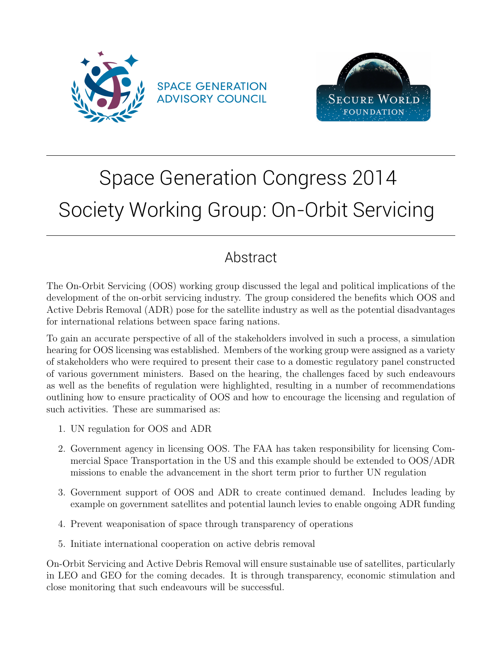



# Space Generation Congress 2014 Society Working Group: On-Orbit Servicing

## Abstract

The On-Orbit Servicing (OOS) working group discussed the legal and political implications of the development of the on-orbit servicing industry. The group considered the benefits which OOS and Active Debris Removal (ADR) pose for the satellite industry as well as the potential disadvantages for international relations between space faring nations.

To gain an accurate perspective of all of the stakeholders involved in such a process, a simulation hearing for OOS licensing was established. Members of the working group were assigned as a variety of stakeholders who were required to present their case to a domestic regulatory panel constructed of various government ministers. Based on the hearing, the challenges faced by such endeavours as well as the benefits of regulation were highlighted, resulting in a number of recommendations outlining how to ensure practicality of OOS and how to encourage the licensing and regulation of such activities. These are summarised as:

- 1. UN regulation for OOS and ADR
- 2. Government agency in licensing OOS. The FAA has taken responsibility for licensing Commercial Space Transportation in the US and this example should be extended to OOS/ADR missions to enable the advancement in the short term prior to further UN regulation
- 3. Government support of OOS and ADR to create continued demand. Includes leading by example on government satellites and potential launch levies to enable ongoing ADR funding
- 4. Prevent weaponisation of space through transparency of operations
- 5. Initiate international cooperation on active debris removal

On-Orbit Servicing and Active Debris Removal will ensure sustainable use of satellites, particularly in LEO and GEO for the coming decades. It is through transparency, economic stimulation and close monitoring that such endeavours will be successful.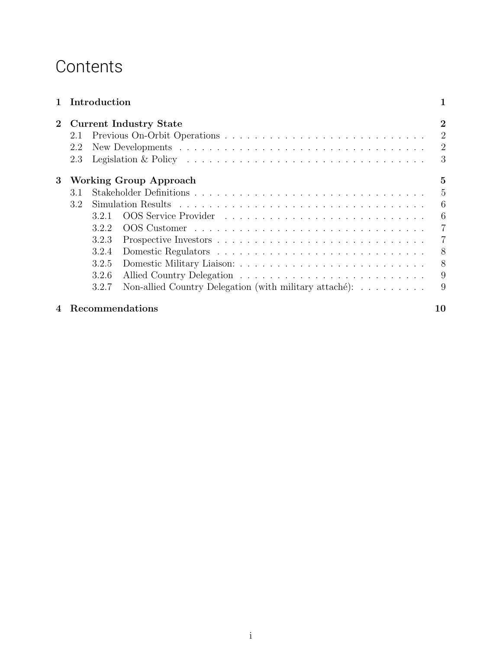## **Contents**

| $\mathbf{1}$ |     | Introduction |                                                                                                      |                |
|--------------|-----|--------------|------------------------------------------------------------------------------------------------------|----------------|
| $\bf{2}$     |     |              | <b>Current Industry State</b>                                                                        | $\bf{2}$       |
|              | 2.1 |              |                                                                                                      | 2              |
|              | 2.2 |              |                                                                                                      | 2              |
|              | 2.3 |              | Legislation & Policy $\dots \dots \dots \dots \dots \dots \dots \dots \dots \dots \dots \dots \dots$ | 3              |
| 3            |     |              | <b>Working Group Approach</b>                                                                        | 5              |
|              | 3.1 |              |                                                                                                      | $\overline{5}$ |
|              | 3.2 |              |                                                                                                      | 6              |
|              |     | 321          |                                                                                                      | 6              |
|              |     | 3.2.2        |                                                                                                      | 7              |
|              |     | 3.2.3        |                                                                                                      | 7              |
|              |     | 3.2.4        |                                                                                                      | 8              |
|              |     | 3.2.5        |                                                                                                      | 8              |
|              |     | 3.2.6        |                                                                                                      | 9              |
|              |     | 3.2.7        | Non-allied Country Delegation (with military attaché): $\dots \dots$                                 | 9              |
|              |     |              | <b>Recommendations</b>                                                                               | 10             |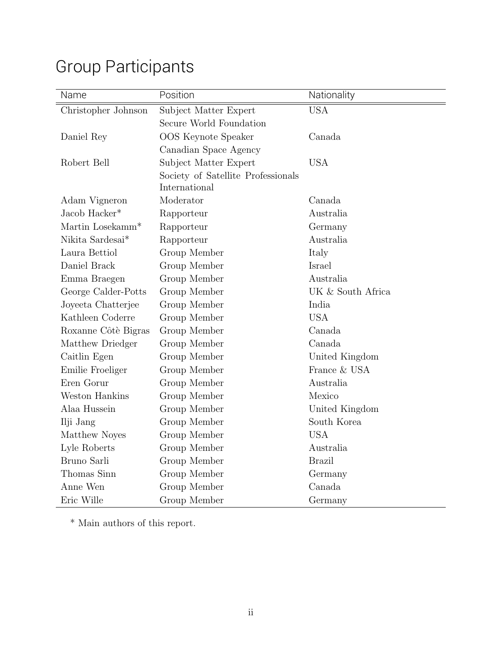| Name                         | Position                           | Nationality       |
|------------------------------|------------------------------------|-------------------|
| Christopher Johnson          | Subject Matter Expert              | <b>USA</b>        |
|                              | Secure World Foundation            |                   |
| Daniel Rey                   | OOS Keynote Speaker                | Canada            |
|                              | Canadian Space Agency              |                   |
| Robert Bell                  | Subject Matter Expert              | <b>USA</b>        |
|                              | Society of Satellite Professionals |                   |
|                              | International                      |                   |
| Adam Vigneron                | Moderator                          | Canada            |
| Jacob Hacker*                | Rapporteur                         | Australia         |
| Martin Losekamm <sup>*</sup> | Rapporteur                         | Germany           |
| Nikita Sardesai*             | Rapporteur                         | Australia         |
| Laura Bettiol                | Group Member                       | Italy             |
| Daniel Brack                 | Group Member                       | Israel            |
| Emma Braegen                 | Group Member                       | Australia         |
| George Calder-Potts          | Group Member                       | UK & South Africa |
| Joyeeta Chatterjee           | Group Member                       | India             |
| Kathleen Coderre             | Group Member                       | <b>USA</b>        |
| Roxanne Côtè Bigras          | Group Member                       | Canada            |
| Matthew Driedger             | Group Member                       | Canada            |
| Caitlin Egen                 | Group Member                       | United Kingdom    |
| Emilie Froeliger             | Group Member                       | France & USA      |
| Eren Gorur                   | Group Member                       | Australia         |
| Weston Hankins               | Group Member                       | Mexico            |
| Alaa Hussein                 | Group Member                       | United Kingdom    |
| Ilji Jang                    | Group Member                       | South Korea       |
| Matthew Noyes                | Group Member                       | <b>USA</b>        |
| Lyle Roberts                 | Group Member                       | Australia         |
| Bruno Sarli                  | Group Member                       | <b>Brazil</b>     |
| Thomas Sinn                  | Group Member                       | Germany           |
| Anne Wen                     | Group Member                       | Canada            |
| Eric Wille                   | Group Member                       | Germany           |

## Group Participants

 $^\ast$  Main authors of this report.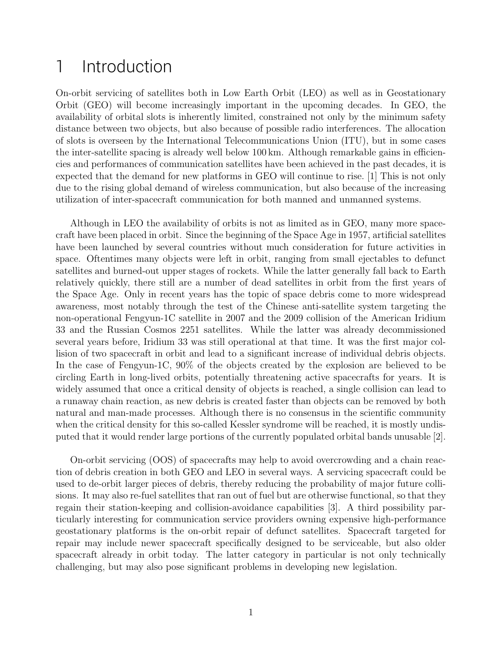## 1 Introduction

On-orbit servicing of satellites both in Low Earth Orbit (LEO) as well as in Geostationary Orbit (GEO) will become increasingly important in the upcoming decades. In GEO, the availability of orbital slots is inherently limited, constrained not only by the minimum safety distance between two objects, but also because of possible radio interferences. The allocation of slots is overseen by the International Telecommunications Union (ITU), but in some cases the inter-satellite spacing is already well below 100 km. Although remarkable gains in efficiencies and performances of communication satellites have been achieved in the past decades, it is expected that the demand for new platforms in GEO will continue to rise. [1] This is not only due to the rising global demand of wireless communication, but also because of the increasing utilization of inter-spacecraft communication for both manned and unmanned systems.

Although in LEO the availability of orbits is not as limited as in GEO, many more spacecraft have been placed in orbit. Since the beginning of the Space Age in 1957, artificial satellites have been launched by several countries without much consideration for future activities in space. Oftentimes many objects were left in orbit, ranging from small ejectables to defunct satellites and burned-out upper stages of rockets. While the latter generally fall back to Earth relatively quickly, there still are a number of dead satellites in orbit from the first years of the Space Age. Only in recent years has the topic of space debris come to more widespread awareness, most notably through the test of the Chinese anti-satellite system targeting the non-operational Fengyun-1C satellite in 2007 and the 2009 collision of the American Iridium 33 and the Russian Cosmos 2251 satellites. While the latter was already decommissioned several years before, Iridium 33 was still operational at that time. It was the first major collision of two spacecraft in orbit and lead to a significant increase of individual debris objects. In the case of Fengyun-1C, 90% of the objects created by the explosion are believed to be circling Earth in long-lived orbits, potentially threatening active spacecrafts for years. It is widely assumed that once a critical density of objects is reached, a single collision can lead to a runaway chain reaction, as new debris is created faster than objects can be removed by both natural and man-made processes. Although there is no consensus in the scientific community when the critical density for this so-called Kessler syndrome will be reached, it is mostly undisputed that it would render large portions of the currently populated orbital bands unusable [2].

On-orbit servicing (OOS) of spacecrafts may help to avoid overcrowding and a chain reaction of debris creation in both GEO and LEO in several ways. A servicing spacecraft could be used to de-orbit larger pieces of debris, thereby reducing the probability of major future collisions. It may also re-fuel satellites that ran out of fuel but are otherwise functional, so that they regain their station-keeping and collision-avoidance capabilities [3]. A third possibility particularly interesting for communication service providers owning expensive high-performance geostationary platforms is the on-orbit repair of defunct satellites. Spacecraft targeted for repair may include newer spacecraft specifically designed to be serviceable, but also older spacecraft already in orbit today. The latter category in particular is not only technically challenging, but may also pose significant problems in developing new legislation.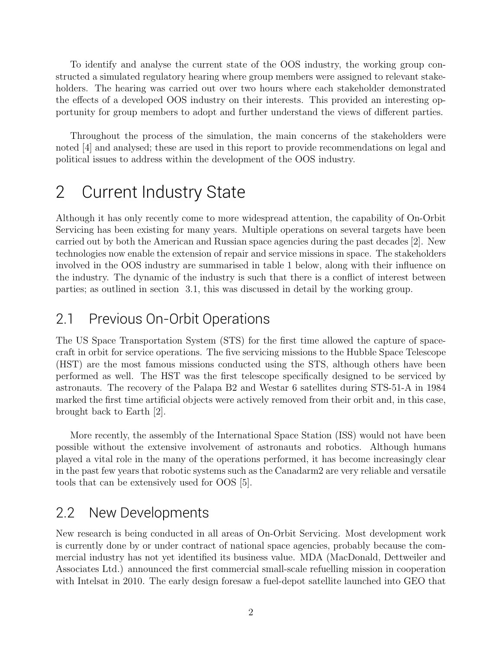To identify and analyse the current state of the OOS industry, the working group constructed a simulated regulatory hearing where group members were assigned to relevant stakeholders. The hearing was carried out over two hours where each stakeholder demonstrated the effects of a developed OOS industry on their interests. This provided an interesting opportunity for group members to adopt and further understand the views of different parties.

Throughout the process of the simulation, the main concerns of the stakeholders were noted [4] and analysed; these are used in this report to provide recommendations on legal and political issues to address within the development of the OOS industry.

## 2 Current Industry State

Although it has only recently come to more widespread attention, the capability of On-Orbit Servicing has been existing for many years. Multiple operations on several targets have been carried out by both the American and Russian space agencies during the past decades [2]. New technologies now enable the extension of repair and service missions in space. The stakeholders involved in the OOS industry are summarised in table 1 below, along with their influence on the industry. The dynamic of the industry is such that there is a conflict of interest between parties; as outlined in section 3.1, this was discussed in detail by the working group.

### 2.1 Previous On-Orbit Operations

The US Space Transportation System (STS) for the first time allowed the capture of spacecraft in orbit for service operations. The five servicing missions to the Hubble Space Telescope (HST) are the most famous missions conducted using the STS, although others have been performed as well. The HST was the first telescope specifically designed to be serviced by astronauts. The recovery of the Palapa B2 and Westar 6 satellites during STS-51-A in 1984 marked the first time artificial objects were actively removed from their orbit and, in this case, brought back to Earth [2].

More recently, the assembly of the International Space Station (ISS) would not have been possible without the extensive involvement of astronauts and robotics. Although humans played a vital role in the many of the operations performed, it has become increasingly clear in the past few years that robotic systems such as the Canadarm2 are very reliable and versatile tools that can be extensively used for OOS [5].

### 2.2 New Developments

New research is being conducted in all areas of On-Orbit Servicing. Most development work is currently done by or under contract of national space agencies, probably because the commercial industry has not yet identified its business value. MDA (MacDonald, Dettweiler and Associates Ltd.) announced the first commercial small-scale refuelling mission in cooperation with Intelsat in 2010. The early design foresaw a fuel-depot satellite launched into GEO that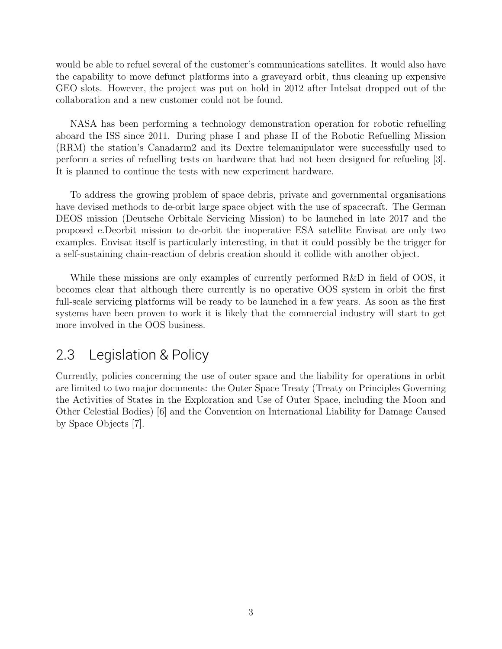would be able to refuel several of the customer's communications satellites. It would also have the capability to move defunct platforms into a graveyard orbit, thus cleaning up expensive GEO slots. However, the project was put on hold in 2012 after Intelsat dropped out of the collaboration and a new customer could not be found.

NASA has been performing a technology demonstration operation for robotic refuelling aboard the ISS since 2011. During phase I and phase II of the Robotic Refuelling Mission (RRM) the station's Canadarm2 and its Dextre telemanipulator were successfully used to perform a series of refuelling tests on hardware that had not been designed for refueling [3]. It is planned to continue the tests with new experiment hardware.

To address the growing problem of space debris, private and governmental organisations have devised methods to de-orbit large space object with the use of spacecraft. The German DEOS mission (Deutsche Orbitale Servicing Mission) to be launched in late 2017 and the proposed e.Deorbit mission to de-orbit the inoperative ESA satellite Envisat are only two examples. Envisat itself is particularly interesting, in that it could possibly be the trigger for a self-sustaining chain-reaction of debris creation should it collide with another object.

While these missions are only examples of currently performed R&D in field of OOS, it becomes clear that although there currently is no operative OOS system in orbit the first full-scale servicing platforms will be ready to be launched in a few years. As soon as the first systems have been proven to work it is likely that the commercial industry will start to get more involved in the OOS business.

### 2.3 Legislation & Policy

Currently, policies concerning the use of outer space and the liability for operations in orbit are limited to two major documents: the Outer Space Treaty (Treaty on Principles Governing the Activities of States in the Exploration and Use of Outer Space, including the Moon and Other Celestial Bodies) [6] and the Convention on International Liability for Damage Caused by Space Objects [7].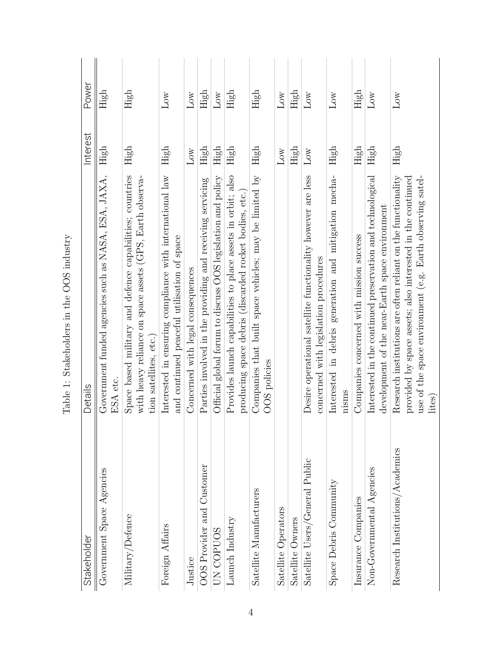| Stakeholder                     | Details                                                                                                                                                                                           | Interest        | Power           |
|---------------------------------|---------------------------------------------------------------------------------------------------------------------------------------------------------------------------------------------------|-----------------|-----------------|
| Government Space Agencies       | Government funded agencies such as NASA, ESA, JAXA,<br>ESA etc.                                                                                                                                   | High            | $\rm High$      |
| Military/Defence                | Space based military and defence capabilities; countries<br>with heavy reliance on space assets (GPS, Earth observa-<br>tion satellites, etc.)                                                    | High            | High            |
| Foreign Affairs                 | Interested in ensuring compliance with international law<br>and continued peaceful utilisation of space                                                                                           | $\rm High$      | $_{\text{Low}}$ |
| Justice                         | Concerned with legal consequences                                                                                                                                                                 | $_{\text{Low}}$ | $_{\text{Low}}$ |
| OOS Provider and Customer       | Parties involved in the providing and receiving servicing                                                                                                                                         | High            | $\rm High$      |
| UN COPUOS                       | Official global forum to discuss OOS legislation and policy                                                                                                                                       | High            | $_{\rm Low}$    |
| Launch Industry                 | Provides launch capabilities to place assets in orbit; also<br>producing space debris (discarded rocket bodies, etc.)                                                                             | High            | $\rm High$      |
| Satellite Manufacturers         | Companies that built space vehicles; may be limited by<br>OOS policies                                                                                                                            | $\rm High$      | $\rm High$      |
| Satellite Operators             |                                                                                                                                                                                                   | $_{\text{Low}}$ | $_{\text{Low}}$ |
| Satellite Owners                |                                                                                                                                                                                                   | $\rm High$      | High            |
| Satellite Users/General Public  | Desire operational satellite functionality however are less<br>concerned with legislation procedures                                                                                              | $_{\text{Low}}$ | $_{\rm Low}$    |
| Space Debris Community          | Interested in debris generation and mitigation mecha-<br>nisms                                                                                                                                    | $\rm High$      | $_{\rm Low}$    |
| Insurance Companies             | Companies concerned with mission success                                                                                                                                                          | High            | $\rm High$      |
| Non-Governmental Agencies       | Interested in the continued preservation and technological<br>development of the near-Earth space environment                                                                                     | High            | $_{\text{Low}}$ |
| Research Institutions/Academics | Research institutions are often reliant on the functionality<br>use of the space environment (e.g. Earth observing satel-<br>provided by space assets; also interested in the continued<br>lites) | High            | $_{\text{Low}}$ |

| Î<br>is a control<br>l                      |
|---------------------------------------------|
| くく                                          |
|                                             |
| くうこう<br>į                                   |
| l<br>$\frac{1}{2}$<br>ׇ֘֒<br>$\overline{a}$ |
|                                             |
| į<br>֚֘֝                                    |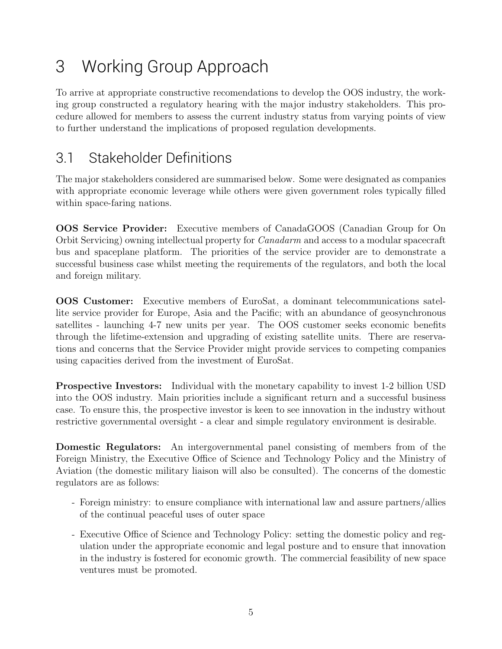## 3 Working Group Approach

To arrive at appropriate constructive recomendations to develop the OOS industry, the working group constructed a regulatory hearing with the major industry stakeholders. This procedure allowed for members to assess the current industry status from varying points of view to further understand the implications of proposed regulation developments.

## 3.1 Stakeholder Definitions

The major stakeholders considered are summarised below. Some were designated as companies with appropriate economic leverage while others were given government roles typically filled within space-faring nations.

OOS Service Provider: Executive members of CanadaGOOS (Canadian Group for On Orbit Servicing) owning intellectual property for Canadarm and access to a modular spacecraft bus and spaceplane platform. The priorities of the service provider are to demonstrate a successful business case whilst meeting the requirements of the regulators, and both the local and foreign military.

OOS Customer: Executive members of EuroSat, a dominant telecommunications satellite service provider for Europe, Asia and the Pacific; with an abundance of geosynchronous satellites - launching 4-7 new units per year. The OOS customer seeks economic benefits through the lifetime-extension and upgrading of existing satellite units. There are reservations and concerns that the Service Provider might provide services to competing companies using capacities derived from the investment of EuroSat.

Prospective Investors: Individual with the monetary capability to invest 1-2 billion USD into the OOS industry. Main priorities include a significant return and a successful business case. To ensure this, the prospective investor is keen to see innovation in the industry without restrictive governmental oversight - a clear and simple regulatory environment is desirable.

Domestic Regulators: An intergovernmental panel consisting of members from of the Foreign Ministry, the Executive Office of Science and Technology Policy and the Ministry of Aviation (the domestic military liaison will also be consulted). The concerns of the domestic regulators are as follows:

- Foreign ministry: to ensure compliance with international law and assure partners/allies of the continual peaceful uses of outer space
- Executive Office of Science and Technology Policy: setting the domestic policy and regulation under the appropriate economic and legal posture and to ensure that innovation in the industry is fostered for economic growth. The commercial feasibility of new space ventures must be promoted.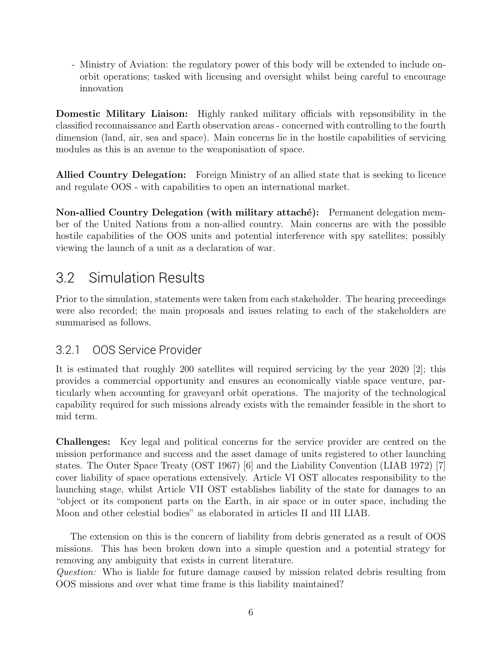- Ministry of Aviation: the regulatory power of this body will be extended to include onorbit operations; tasked with licensing and oversight whilst being careful to encourage innovation

Domestic Military Liaison: Highly ranked military officials with repsonsibility in the classified reconnaissance and Earth observation areas - concerned with controlling to the fourth dimension (land, air, sea and space). Main concerns lie in the hostile capabilities of servicing modules as this is an avenue to the weaponisation of space.

Allied Country Delegation: Foreign Ministry of an allied state that is seeking to licence and regulate OOS - with capabilities to open an international market.

Non-allied Country Delegation (with military attaché): Permanent delegation member of the United Nations from a non-allied country. Main concerns are with the possible hostile capabilities of the OOS units and potential interference with spy satellites; possibly viewing the launch of a unit as a declaration of war.

## 3.2 Simulation Results

Prior to the simulation, statements were taken from each stakeholder. The hearing preceedings were also recorded; the main proposals and issues relating to each of the stakeholders are summarised as follows.

#### 3.2.1 OOS Service Provider

It is estimated that roughly 200 satellites will required servicing by the year 2020 [2]; this provides a commercial opportunity and ensures an economically viable space venture, particularly when accounting for graveyard orbit operations. The majority of the technological capability required for such missions already exists with the remainder feasible in the short to mid term.

Challenges: Key legal and political concerns for the service provider are centred on the mission performance and success and the asset damage of units registered to other launching states. The Outer Space Treaty (OST 1967) [6] and the Liability Convention (LIAB 1972) [7] cover liability of space operations extensively. Article VI OST allocates responsibility to the launching stage, whilst Article VII OST establishes liability of the state for damages to an "object or its component parts on the Earth, in air space or in outer space, including the Moon and other celestial bodies" as elaborated in articles II and III LIAB.

The extension on this is the concern of liability from debris generated as a result of OOS missions. This has been broken down into a simple question and a potential strategy for removing any ambiguity that exists in current literature.

Question: Who is liable for future damage caused by mission related debris resulting from OOS missions and over what time frame is this liability maintained?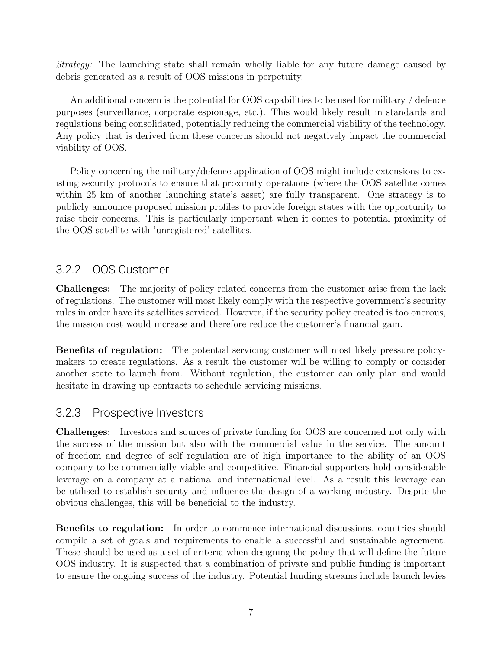Strategy: The launching state shall remain wholly liable for any future damage caused by debris generated as a result of OOS missions in perpetuity.

An additional concern is the potential for OOS capabilities to be used for military / defence purposes (surveillance, corporate espionage, etc.). This would likely result in standards and regulations being consolidated, potentially reducing the commercial viability of the technology. Any policy that is derived from these concerns should not negatively impact the commercial viability of OOS.

Policy concerning the military/defence application of OOS might include extensions to existing security protocols to ensure that proximity operations (where the OOS satellite comes within 25 km of another launching state's asset) are fully transparent. One strategy is to publicly announce proposed mission profiles to provide foreign states with the opportunity to raise their concerns. This is particularly important when it comes to potential proximity of the OOS satellite with 'unregistered' satellites.

#### 3.2.2 OOS Customer

Challenges: The majority of policy related concerns from the customer arise from the lack of regulations. The customer will most likely comply with the respective government's security rules in order have its satellites serviced. However, if the security policy created is too onerous, the mission cost would increase and therefore reduce the customer's financial gain.

Benefits of regulation: The potential servicing customer will most likely pressure policymakers to create regulations. As a result the customer will be willing to comply or consider another state to launch from. Without regulation, the customer can only plan and would hesitate in drawing up contracts to schedule servicing missions.

#### 3.2.3 Prospective Investors

Challenges: Investors and sources of private funding for OOS are concerned not only with the success of the mission but also with the commercial value in the service. The amount of freedom and degree of self regulation are of high importance to the ability of an OOS company to be commercially viable and competitive. Financial supporters hold considerable leverage on a company at a national and international level. As a result this leverage can be utilised to establish security and influence the design of a working industry. Despite the obvious challenges, this will be beneficial to the industry.

Benefits to regulation: In order to commence international discussions, countries should compile a set of goals and requirements to enable a successful and sustainable agreement. These should be used as a set of criteria when designing the policy that will define the future OOS industry. It is suspected that a combination of private and public funding is important to ensure the ongoing success of the industry. Potential funding streams include launch levies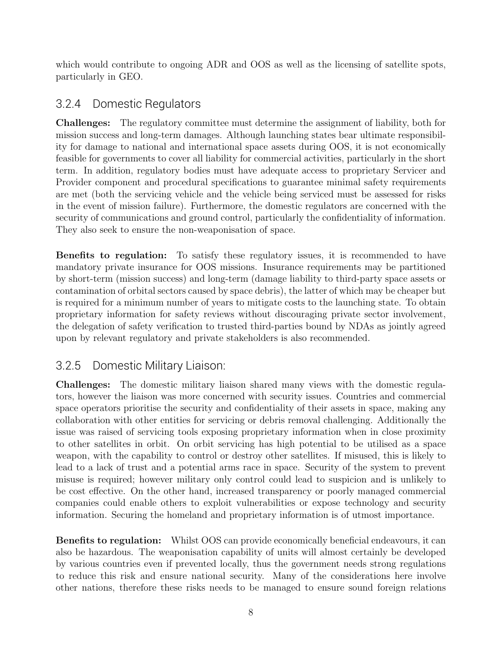which would contribute to ongoing ADR and OOS as well as the licensing of satellite spots, particularly in GEO.

#### 3.2.4 Domestic Regulators

Challenges: The regulatory committee must determine the assignment of liability, both for mission success and long-term damages. Although launching states bear ultimate responsibility for damage to national and international space assets during OOS, it is not economically feasible for governments to cover all liability for commercial activities, particularly in the short term. In addition, regulatory bodies must have adequate access to proprietary Servicer and Provider component and procedural specifications to guarantee minimal safety requirements are met (both the servicing vehicle and the vehicle being serviced must be assessed for risks in the event of mission failure). Furthermore, the domestic regulators are concerned with the security of communications and ground control, particularly the confidentiality of information. They also seek to ensure the non-weaponisation of space.

Benefits to regulation: To satisfy these regulatory issues, it is recommended to have mandatory private insurance for OOS missions. Insurance requirements may be partitioned by short-term (mission success) and long-term (damage liability to third-party space assets or contamination of orbital sectors caused by space debris), the latter of which may be cheaper but is required for a minimum number of years to mitigate costs to the launching state. To obtain proprietary information for safety reviews without discouraging private sector involvement, the delegation of safety verification to trusted third-parties bound by NDAs as jointly agreed upon by relevant regulatory and private stakeholders is also recommended.

#### 3.2.5 Domestic Military Liaison:

Challenges: The domestic military liaison shared many views with the domestic regulators, however the liaison was more concerned with security issues. Countries and commercial space operators prioritise the security and confidentiality of their assets in space, making any collaboration with other entities for servicing or debris removal challenging. Additionally the issue was raised of servicing tools exposing proprietary information when in close proximity to other satellites in orbit. On orbit servicing has high potential to be utilised as a space weapon, with the capability to control or destroy other satellites. If misused, this is likely to lead to a lack of trust and a potential arms race in space. Security of the system to prevent misuse is required; however military only control could lead to suspicion and is unlikely to be cost effective. On the other hand, increased transparency or poorly managed commercial companies could enable others to exploit vulnerabilities or expose technology and security information. Securing the homeland and proprietary information is of utmost importance.

Benefits to regulation: Whilst OOS can provide economically beneficial endeavours, it can also be hazardous. The weaponisation capability of units will almost certainly be developed by various countries even if prevented locally, thus the government needs strong regulations to reduce this risk and ensure national security. Many of the considerations here involve other nations, therefore these risks needs to be managed to ensure sound foreign relations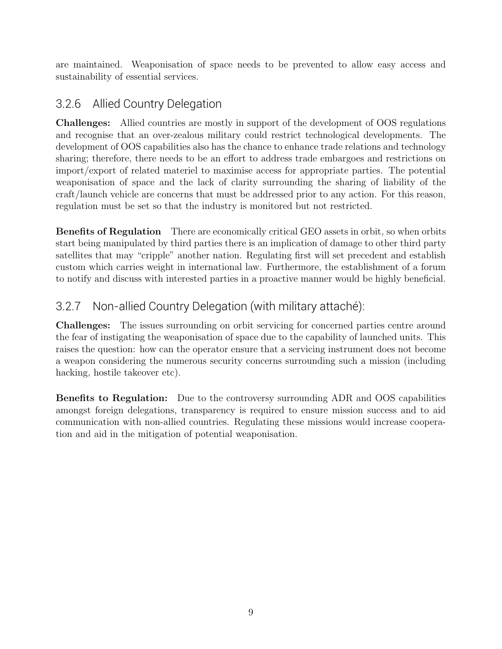are maintained. Weaponisation of space needs to be prevented to allow easy access and sustainability of essential services.

#### 3.2.6 Allied Country Delegation

Challenges: Allied countries are mostly in support of the development of OOS regulations and recognise that an over-zealous military could restrict technological developments. The development of OOS capabilities also has the chance to enhance trade relations and technology sharing; therefore, there needs to be an effort to address trade embargoes and restrictions on import/export of related materiel to maximise access for appropriate parties. The potential weaponisation of space and the lack of clarity surrounding the sharing of liability of the craft/launch vehicle are concerns that must be addressed prior to any action. For this reason, regulation must be set so that the industry is monitored but not restricted.

Benefits of Regulation There are economically critical GEO assets in orbit, so when orbits start being manipulated by third parties there is an implication of damage to other third party satellites that may "cripple" another nation. Regulating first will set precedent and establish custom which carries weight in international law. Furthermore, the establishment of a forum to notify and discuss with interested parties in a proactive manner would be highly beneficial.

### 3.2.7 Non-allied Country Delegation (with military attachÈ):

Challenges: The issues surrounding on orbit servicing for concerned parties centre around the fear of instigating the weaponisation of space due to the capability of launched units. This raises the question: how can the operator ensure that a servicing instrument does not become a weapon considering the numerous security concerns surrounding such a mission (including hacking, hostile takeover etc).

Benefits to Regulation: Due to the controversy surrounding ADR and OOS capabilities amongst foreign delegations, transparency is required to ensure mission success and to aid communication with non-allied countries. Regulating these missions would increase cooperation and aid in the mitigation of potential weaponisation.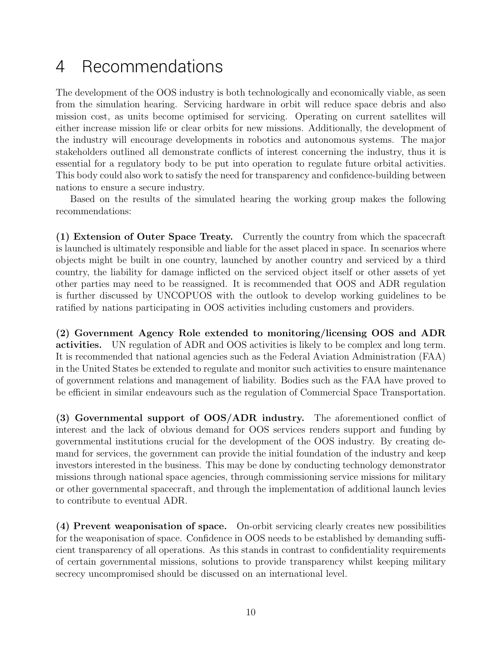## 4 Recommendations

The development of the OOS industry is both technologically and economically viable, as seen from the simulation hearing. Servicing hardware in orbit will reduce space debris and also mission cost, as units become optimised for servicing. Operating on current satellites will either increase mission life or clear orbits for new missions. Additionally, the development of the industry will encourage developments in robotics and autonomous systems. The major stakeholders outlined all demonstrate conflicts of interest concerning the industry, thus it is essential for a regulatory body to be put into operation to regulate future orbital activities. This body could also work to satisfy the need for transparency and confidence-building between nations to ensure a secure industry.

Based on the results of the simulated hearing the working group makes the following recommendations:

(1) Extension of Outer Space Treaty. Currently the country from which the spacecraft is launched is ultimately responsible and liable for the asset placed in space. In scenarios where objects might be built in one country, launched by another country and serviced by a third country, the liability for damage inflicted on the serviced object itself or other assets of yet other parties may need to be reassigned. It is recommended that OOS and ADR regulation is further discussed by UNCOPUOS with the outlook to develop working guidelines to be ratified by nations participating in OOS activities including customers and providers.

(2) Government Agency Role extended to monitoring/licensing OOS and ADR activities. UN regulation of ADR and OOS activities is likely to be complex and long term. It is recommended that national agencies such as the Federal Aviation Administration (FAA) in the United States be extended to regulate and monitor such activities to ensure maintenance of government relations and management of liability. Bodies such as the FAA have proved to be efficient in similar endeavours such as the regulation of Commercial Space Transportation.

(3) Governmental support of OOS/ADR industry. The aforementioned conflict of interest and the lack of obvious demand for OOS services renders support and funding by governmental institutions crucial for the development of the OOS industry. By creating demand for services, the government can provide the initial foundation of the industry and keep investors interested in the business. This may be done by conducting technology demonstrator missions through national space agencies, through commissioning service missions for military or other governmental spacecraft, and through the implementation of additional launch levies to contribute to eventual ADR.

(4) Prevent weaponisation of space. On-orbit servicing clearly creates new possibilities for the weaponisation of space. Confidence in OOS needs to be established by demanding sufficient transparency of all operations. As this stands in contrast to confidentiality requirements of certain governmental missions, solutions to provide transparency whilst keeping military secrecy uncompromised should be discussed on an international level.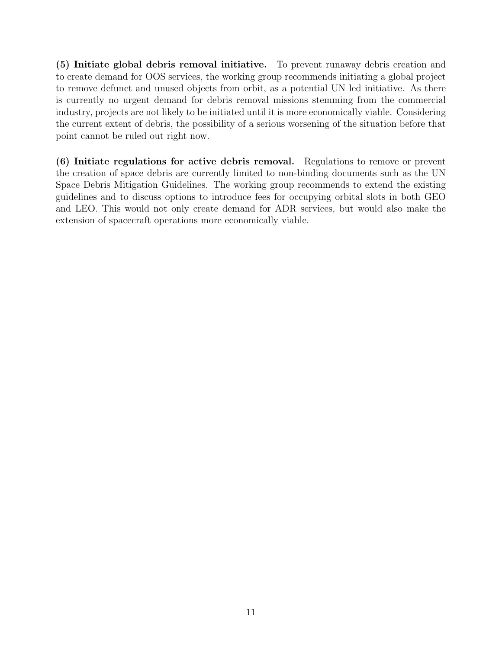(5) Initiate global debris removal initiative. To prevent runaway debris creation and to create demand for OOS services, the working group recommends initiating a global project to remove defunct and unused objects from orbit, as a potential UN led initiative. As there is currently no urgent demand for debris removal missions stemming from the commercial industry, projects are not likely to be initiated until it is more economically viable. Considering the current extent of debris, the possibility of a serious worsening of the situation before that point cannot be ruled out right now.

(6) Initiate regulations for active debris removal. Regulations to remove or prevent the creation of space debris are currently limited to non-binding documents such as the UN Space Debris Mitigation Guidelines. The working group recommends to extend the existing guidelines and to discuss options to introduce fees for occupying orbital slots in both GEO and LEO. This would not only create demand for ADR services, but would also make the extension of spacecraft operations more economically viable.